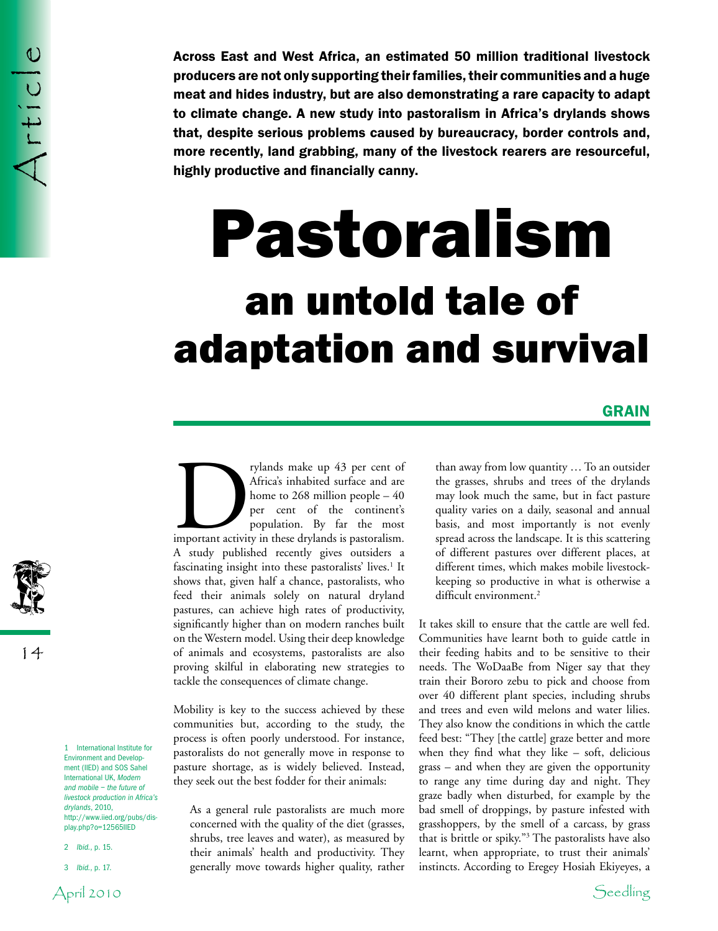Across East and West Africa, an estimated 50 million traditional livestock producers are not only supporting their families, their communities and a huge meat and hides industry, but are also demonstrating a rare capacity to adapt to climate change. A new study into pastoralism in Africa's drylands shows that, despite serious problems caused by bureaucracy, border controls and, more recently, land grabbing, many of the livestock rearers are resourceful, highly productive and financially canny.

# Pastoralism an untold tale of adaptation and survival

## **GRAIN**

rylands make up 43 per cent of<br>
Africa's inhabited surface and are<br>
home to 268 million people – 40<br>
per cent of the continent's<br>
population. By far the most<br>
important activity in these drylands is pastoralism. Africa's inhabited surface and are home to 268 million people – 40 per cent of the continent's population. By far the most A study published recently gives outsiders a fascinating insight into these pastoralists' lives.<sup>1</sup> It shows that, given half a chance, pastoralists, who feed their animals solely on natural dryland pastures, can achieve high rates of productivity, significantly higher than on modern ranches built on the Western model. Using their deep knowledge of animals and ecosystems, pastoralists are also proving skilful in elaborating new strategies to tackle the consequences of climate change.

Mobility is key to the success achieved by these communities but, according to the study, the process is often poorly understood. For instance, pastoralists do not generally move in response to pasture shortage, as is widely believed. Instead, they seek out the best fodder for their animals:

As a general rule pastoralists are much more concerned with the quality of the diet (grasses, shrubs, tree leaves and water), as measured by their animals' health and productivity. They generally move towards higher quality, rather

than away from low quantity … To an outsider the grasses, shrubs and trees of the drylands may look much the same, but in fact pasture quality varies on a daily, seasonal and annual basis, and most importantly is not evenly spread across the landscape. It is this scattering of different pastures over different places, at different times, which makes mobile livestockkeeping so productive in what is otherwise a difficult environment.<sup>2</sup>

It takes skill to ensure that the cattle are well fed. Communities have learnt both to guide cattle in their feeding habits and to be sensitive to their needs. The WoDaaBe from Niger say that they train their Bororo zebu to pick and choose from over 40 different plant species, including shrubs and trees and even wild melons and water lilies. They also know the conditions in which the cattle feed best: "They [the cattle] graze better and more when they find what they like – soft, delicious grass – and when they are given the opportunity to range any time during day and night. They graze badly when disturbed, for example by the bad smell of droppings, by pasture infested with grasshoppers, by the smell of a carcass, by grass that is brittle or spiky."3 The pastoralists have also learnt, when appropriate, to trust their animals' instincts. According to Eregey Hosiah Ekiyeyes, a

Environment and Development (IIED) and SOS Sahel International UK, *Modern and mobile – the future of livestock production in Africa's drylands*, 2010, http://www.iied.org/pubs/display.php?o=12565IIED

1 International Institute for

2 *Ibid.*, p. 15.

14

3 *Ibid.*, p. 17.

April 2010 Seedling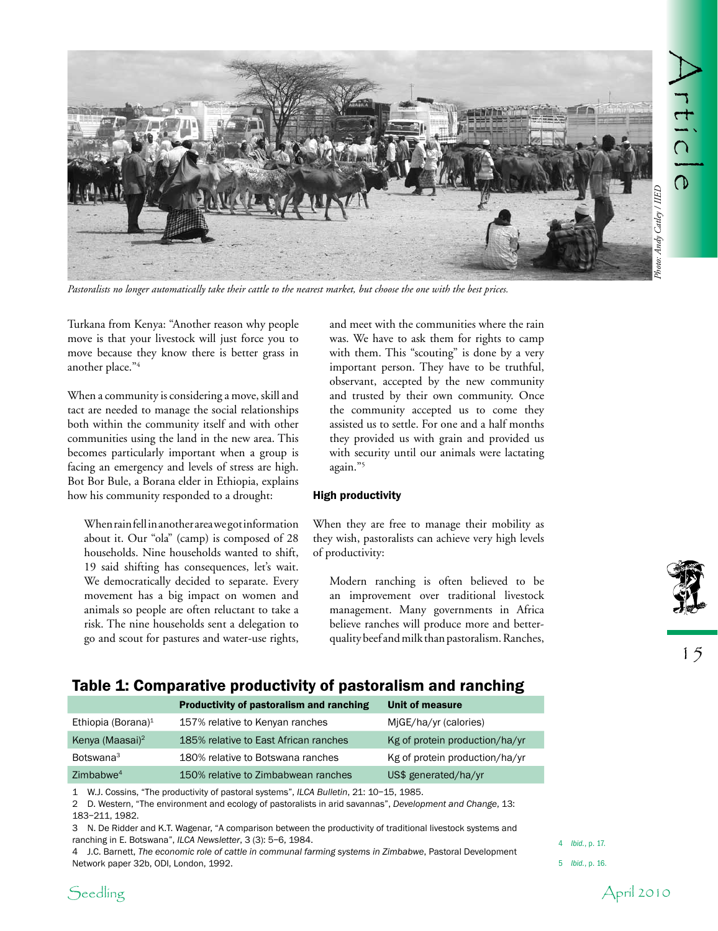

*Pastoralists no longer automatically take their cattle to the nearest market, but choose the one with the best prices.*

Turkana from Kenya: "Another reason why people move is that your livestock will just force you to move because they know there is better grass in another place."4

When a community is considering a move, skill and tact are needed to manage the social relationships both within the community itself and with other communities using the land in the new area. This becomes particularly important when a group is facing an emergency and levels of stress are high. Bot Bor Bule, a Borana elder in Ethiopia, explains how his community responded to a drought:

When rain fell in another area we got information about it. Our "ola" (camp) is composed of 28 households. Nine households wanted to shift, 19 said shifting has consequences, let's wait. We democratically decided to separate. Every movement has a big impact on women and animals so people are often reluctant to take a risk. The nine households sent a delegation to go and scout for pastures and water-use rights,

and meet with the communities where the rain was. We have to ask them for rights to camp with them. This "scouting" is done by a very important person. They have to be truthful, observant, accepted by the new community and trusted by their own community. Once the community accepted us to come they assisted us to settle. For one and a half months they provided us with grain and provided us with security until our animals were lactating again."5

### High productivity

When they are free to manage their mobility as they wish, pastoralists can achieve very high levels of productivity:

Modern ranching is often believed to be an improvement over traditional livestock management. Many governments in Africa believe ranches will produce more and betterquality beef and milk than pastoralism. Ranches,



15

## Table 1: Comparative productivity of pastoralism and ranching

|                                | Productivity of pastoralism and ranching | Unit of measure                |
|--------------------------------|------------------------------------------|--------------------------------|
| Ethiopia (Borana) <sup>1</sup> | 157% relative to Kenyan ranches          | MiGE/ha/yr (calories)          |
| Kenya (Maasai) <sup>2</sup>    | 185% relative to East African ranches    | Kg of protein production/ha/yr |
| Botswana <sup>3</sup>          | 180% relative to Botswana ranches        | Kg of protein production/ha/yr |
| Zimbabwe <sup>4</sup>          | 150% relative to Zimbabwean ranches      | US\$ generated/ha/yr           |

1 W.J. Cossins, "The productivity of pastoral systems", *ILCA Bulletin*, 21: 10–15, 1985.

2 D. Western, "The environment and ecology of pastoralists in arid savannas", *Development and Change*, 13: 183–211, 1982.

3 N. De Ridder and K.T. Wagenar, "A comparison between the productivity of traditional livestock systems and ranching in E. Botswana", *ILCA Newsletter*, 3 (3): 5–6, 1984.

4 J.C. Barnett, *The economic role of cattle in communal farming systems in Zimbabwe*, Pastoral Development Network paper 32b, ODI, London, 1992.

4 *Ibid.*, p. 17.



<sup>5</sup>  *Ibid.*, p. 16.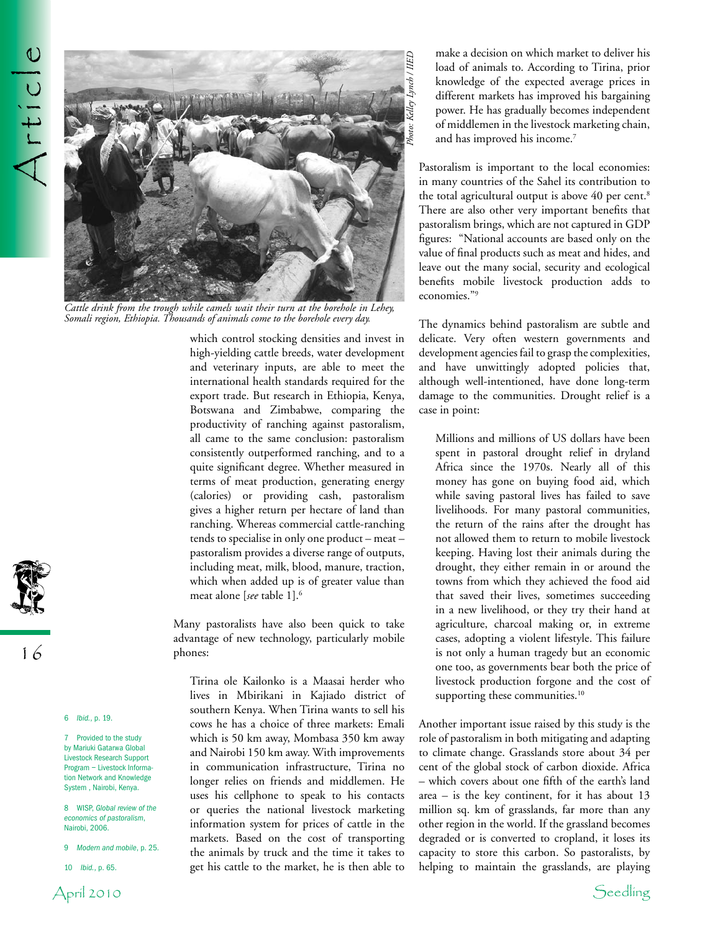

*Cattle drink from the trough while camels wait their turn at the borehole in Lehey, Somali region, Ethiopia. Thousands of animals come to the borehole every day.*

which control stocking densities and invest in high-yielding cattle breeds, water development and veterinary inputs, are able to meet the international health standards required for the export trade. But research in Ethiopia, Kenya, Botswana and Zimbabwe, comparing the productivity of ranching against pastoralism, all came to the same conclusion: pastoralism consistently outperformed ranching, and to a quite significant degree. Whether measured in terms of meat production, generating energy (calories) or providing cash, pastoralism gives a higher return per hectare of land than ranching. Whereas commercial cattle-ranching tends to specialise in only one product – meat – pastoralism provides a diverse range of outputs, including meat, milk, blood, manure, traction, which when added up is of greater value than meat alone [*see* table 1].6

Many pastoralists have also been quick to take advantage of new technology, particularly mobile phones:

Tirina ole Kailonko is a Maasai herder who lives in Mbirikani in Kajiado district of southern Kenya. When Tirina wants to sell his cows he has a choice of three markets: Emali which is 50 km away, Mombasa 350 km away and Nairobi 150 km away. With improvements in communication infrastructure, Tirina no longer relies on friends and middlemen. He uses his cellphone to speak to his contacts or queries the national livestock marketing information system for prices of cattle in the markets. Based on the cost of transporting the animals by truck and the time it takes to get his cattle to the market, he is then able to

make a decision on which market to deliver his load of animals to. According to Tirina, prior knowledge of the expected average prices in different markets has improved his bargaining power. He has gradually becomes independent of middlemen in the livestock marketing chain, and has improved his income.<sup>7</sup>

Pastoralism is important to the local economies: in many countries of the Sahel its contribution to the total agricultural output is above 40 per cent.<sup>8</sup> There are also other very important benefits that pastoralism brings, which are not captured in GDP figures: "National accounts are based only on the value of final products such as meat and hides, and leave out the many social, security and ecological benefits mobile livestock production adds to economies."9

The dynamics behind pastoralism are subtle and delicate. Very often western governments and development agencies fail to grasp the complexities, and have unwittingly adopted policies that, although well-intentioned, have done long-term damage to the communities. Drought relief is a case in point:

Millions and millions of US dollars have been spent in pastoral drought relief in dryland Africa since the 1970s. Nearly all of this money has gone on buying food aid, which while saving pastoral lives has failed to save livelihoods. For many pastoral communities, the return of the rains after the drought has not allowed them to return to mobile livestock keeping. Having lost their animals during the drought, they either remain in or around the towns from which they achieved the food aid that saved their lives, sometimes succeeding in a new livelihood, or they try their hand at agriculture, charcoal making or, in extreme cases, adopting a violent lifestyle. This failure is not only a human tragedy but an economic one too, as governments bear both the price of livestock production forgone and the cost of supporting these communities.<sup>10</sup>

Another important issue raised by this study is the role of pastoralism in both mitigating and adapting to climate change. Grasslands store about 34 per cent of the global stock of carbon dioxide. Africa – which covers about one fifth of the earth's land area – is the key continent, for it has about 13 million sq. km of grasslands, far more than any other region in the world. If the grassland becomes degraded or is converted to cropland, it loses its capacity to store this carbon. So pastoralists, by helping to maintain the grasslands, are playing



6 *Ibid.*, p. 19.

7 Provided to the study by Mariuki Gatarwa Global Livestock Research Support Program – Livestock Information Network and Knowledge System , Nairobi, Kenya.

8 WISP, *Global review of the economics of pastoralism*, Nairobi, 2006.

- 9 *Modern and mobile*, p. 25.
- 10 *Ibid.*, p. 65.

April 2010 Seedling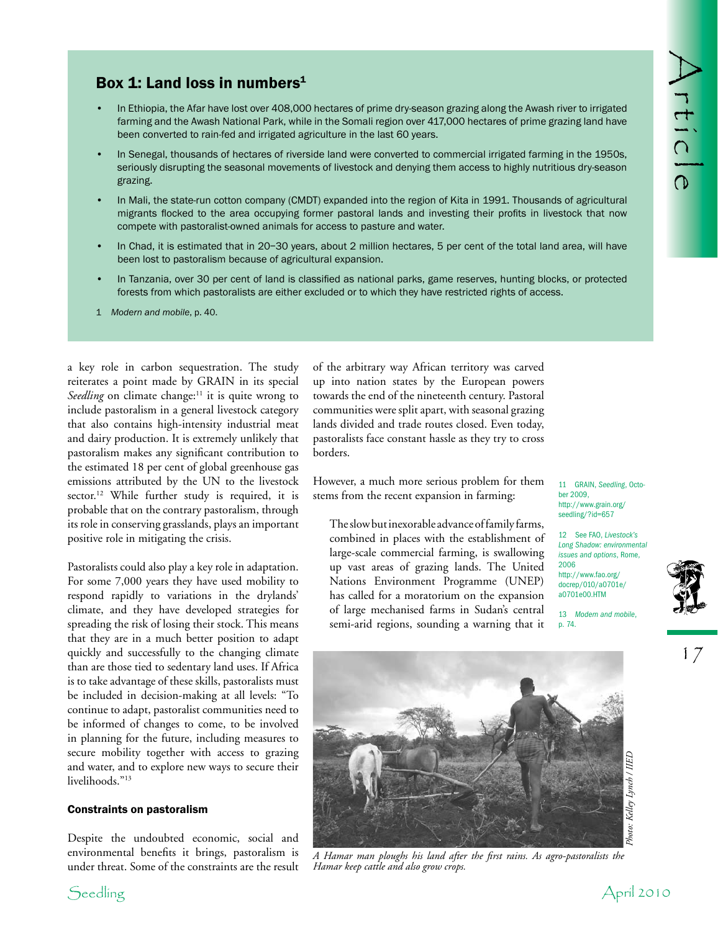# Box 1: Land loss in numbers<sup>1</sup>

- In Ethiopia, the Afar have lost over 408,000 hectares of prime dry-season grazing along the Awash river to irrigated farming and the Awash National Park, while in the Somali region over 417,000 hectares of prime grazing land have been converted to rain-fed and irrigated agriculture in the last 60 years. •
- In Senegal, thousands of hectares of riverside land were converted to commercial irrigated farming in the 1950s, seriously disrupting the seasonal movements of livestock and denying them access to highly nutritious dry-season grazing. •
- In Mali, the state-run cotton company (CMDT) expanded into the region of Kita in 1991. Thousands of agricultural migrants flocked to the area occupying former pastoral lands and investing their profits in livestock that now compete with pastoralist-owned animals for access to pasture and water. •
- In Chad, it is estimated that in 20–30 years, about 2 million hectares, 5 per cent of the total land area, will have been lost to pastoralism because of agricultural expansion. •
- In Tanzania, over 30 per cent of land is classified as national parks, game reserves, hunting blocks, or protected forests from which pastoralists are either excluded or to which they have restricted rights of access. •
- 1 *Modern and mobile*, p. 40.

a key role in carbon sequestration. The study reiterates a point made by GRAIN in its special *Seedling* on climate change:<sup>11</sup> it is quite wrong to include pastoralism in a general livestock category that also contains high-intensity industrial meat and dairy production. It is extremely unlikely that pastoralism makes any significant contribution to the estimated 18 per cent of global greenhouse gas emissions attributed by the UN to the livestock sector.<sup>12</sup> While further study is required, it is probable that on the contrary pastoralism, through its role in conserving grasslands, plays an important positive role in mitigating the crisis.

Pastoralists could also play a key role in adaptation. For some 7,000 years they have used mobility to respond rapidly to variations in the drylands' climate, and they have developed strategies for spreading the risk of losing their stock. This means that they are in a much better position to adapt quickly and successfully to the changing climate than are those tied to sedentary land uses. If Africa is to take advantage of these skills, pastoralists must be included in decision-making at all levels: "To continue to adapt, pastoralist communities need to be informed of changes to come, to be involved in planning for the future, including measures to secure mobility together with access to grazing and water, and to explore new ways to secure their livelihoods."<sup>13</sup>

## Constraints on pastoralism

Despite the undoubted economic, social and environmental benefits it brings, pastoralism is under threat. Some of the constraints are the result

of the arbitrary way African territory was carved up into nation states by the European powers towards the end of the nineteenth century. Pastoral communities were split apart, with seasonal grazing lands divided and trade routes closed. Even today, pastoralists face constant hassle as they try to cross borders.

However, a much more serious problem for them stems from the recent expansion in farming:

The slow but inexorable advance of family farms, combined in places with the establishment of large-scale commercial farming, is swallowing up vast areas of grazing lands. The United Nations Environment Programme (UNEP) has called for a moratorium on the expansion of large mechanised farms in Sudan's central semi-arid regions, sounding a warning that it

11 GRAIN, *Seedling*, October 2009, http://www.grain.org/ seedling/?id=657

12 See FAO, *Livestock's Long Shadow: environmental issues and options*, Rome, 2006 http://www.fao.org/ docrep/010/a0701e/ a0701e00.HTM

13 *Modern and mobile*, p. 74.



17



*A Hamar man ploughs his land after the first rains. As agro-pastoralists the Hamar keep cattle and also grow crops.*